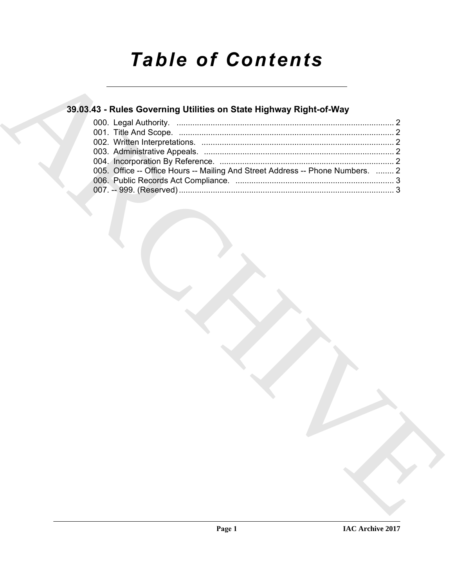# *Table of Contents*

### **39.03.43 - Rules Governing Utilities on State Highway Right-of-Way**

|  |                                                                                | 39.03.43 - Rules Governing Utilities on State Highway Right-of-Way |  |  |
|--|--------------------------------------------------------------------------------|--------------------------------------------------------------------|--|--|
|  |                                                                                |                                                                    |  |  |
|  |                                                                                |                                                                    |  |  |
|  |                                                                                |                                                                    |  |  |
|  | 005. Office -- Office Hours -- Mailing And Street Address -- Phone Numbers.  2 |                                                                    |  |  |
|  |                                                                                |                                                                    |  |  |
|  |                                                                                |                                                                    |  |  |
|  |                                                                                |                                                                    |  |  |
|  |                                                                                |                                                                    |  |  |
|  |                                                                                |                                                                    |  |  |
|  |                                                                                |                                                                    |  |  |
|  |                                                                                |                                                                    |  |  |
|  |                                                                                |                                                                    |  |  |
|  |                                                                                |                                                                    |  |  |
|  |                                                                                |                                                                    |  |  |
|  |                                                                                |                                                                    |  |  |
|  |                                                                                |                                                                    |  |  |
|  |                                                                                |                                                                    |  |  |
|  |                                                                                |                                                                    |  |  |
|  |                                                                                |                                                                    |  |  |
|  |                                                                                |                                                                    |  |  |
|  |                                                                                |                                                                    |  |  |
|  |                                                                                |                                                                    |  |  |
|  |                                                                                |                                                                    |  |  |
|  |                                                                                |                                                                    |  |  |
|  |                                                                                |                                                                    |  |  |
|  |                                                                                |                                                                    |  |  |
|  |                                                                                |                                                                    |  |  |
|  |                                                                                |                                                                    |  |  |
|  |                                                                                |                                                                    |  |  |
|  |                                                                                |                                                                    |  |  |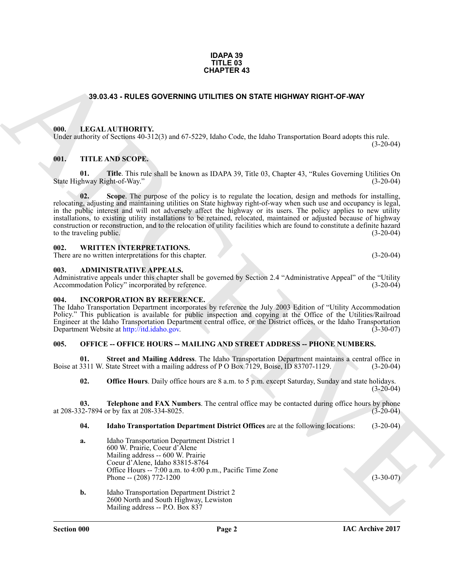#### **IDAPA 39 TITLE 03 CHAPTER 43**

#### **39.03.43 - RULES GOVERNING UTILITIES ON STATE HIGHWAY RIGHT-OF-WAY**

#### <span id="page-1-1"></span><span id="page-1-0"></span>**000. LEGAL AUTHORITY.**

Under authority of Sections 40-312(3) and 67-5229, Idaho Code, the Idaho Transportation Board adopts this rule.

#### <span id="page-1-2"></span>**001. TITLE AND SCOPE.**

**01. Title**. This rule shall be known as IDAPA 39, Title 03, Chapter 43, "Rules Governing Utilities On chapter 43, "Chapter 43, "Rules Governing Utilities On State Highway Right-of-Way."

**38.03.43 - RULES GOVERNING UTILITIES ON STATE HIGHWAY RIGHT OF WAY<br>
LAB THE LAB THE SAND SCOPE IN THE SAND SCOPE IN THE SAND SCOPE IN THE SAND SCOPE IN THE SAND SCOPE.<br>
GENERAL ALTHORITY 25 YOU BAD TO SEE A LIGHT OF DEVI 02. Scope**. The purpose of the policy is to regulate the location, design and methods for installing, relocating, adjusting and maintaining utilities on State highway right-of-way when such use and occupancy is legal, in the public interest and will not adversely affect the highway or its users. The policy applies to new utility installations, to existing utility installations to be retained, relocated, maintained or adjusted because of highway construction or reconstruction, and to the relocation of utility facilities which are found to constitute a definite hazard to the traveling public. (3-20-04)

#### <span id="page-1-3"></span>**002. WRITTEN INTERPRETATIONS.**

There are no written interpretations for this chapter. (3-20-04)

#### <span id="page-1-4"></span>**003. ADMINISTRATIVE APPEALS.**

Administrative appeals under this chapter shall be governed by Section 2.4 "Administrative Appeal" of the "Utility Accommodation Policy" incorporated by reference. (3-20-04) Accommodation Policy" incorporated by reference.

#### <span id="page-1-5"></span>**004. INCORPORATION BY REFERENCE.**

The Idaho Transportation Department incorporates by reference the July 2003 Edition of "Utility Accommodation Policy." This publication is available for public inspection and copying at the Office of the Utilities/Railroad Engineer at the Idaho Transportation Department central office, or the District offices, or the Idaho Transportation Department Website at http://itd.idaho.gov. (3-30-07) Department Website at http://itd.idaho.gov.

#### <span id="page-1-6"></span>**005. OFFICE -- OFFICE HOURS -- MAILING AND STREET ADDRESS -- PHONE NUMBERS.**

**01.** Street and Mailing Address. The Idaho Transportation Department maintains a central office in 3311 W. State Street with a mailing address of P O Box 7129, Boise, ID 83707-1129. (3-20-04) Boise at 3311 W. State Street with a mailing address of P O Box 7129, Boise, ID 83707-1129.

**02. Office Hours**. Daily office hours are 8 a.m. to 5 p.m. except Saturday, Sunday and state holidays.  $(3-20-04)$ 

**03. Telephone and FAX Numbers**. The central office may be contacted during office hours by phone 32-7894 or by fax at 208-334-8025. at 208-332-7894 or by fax at 208-334-8025.

#### <span id="page-1-7"></span>**04. Idaho Transportation Department District Offices** are at the following locations: (3-20-04)

- **a.** Idaho Transportation Department District 1 600 W. Prairie, Coeur d'Alene Mailing address -- 600 W. Prairie Coeur d'Alene, Idaho 83815-8764 Office Hours -- 7:00 a.m. to 4:00 p.m., Pacific Time Zone Phone -- (208) 772-1200 (3-30-07) (3-30-07)
- **b.** Idaho Transportation Department District 2 2600 North and South Highway, Lewiston Mailing address -- P.O. Box 837

 $(3-20-04)$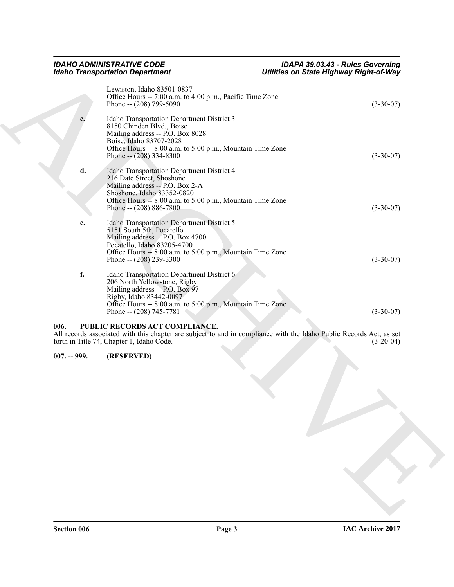| Lewiston, Idaho 83501-0837<br>Office Hours -- 7:00 a.m. to 4:00 p.m., Pacific Time Zone<br>Phone -- (208) 799-5090<br>Idaho Transportation Department District 3<br>c.<br>8150 Chinden Blvd., Boise<br>Mailing address -- P.O. Box 8028<br>Boise, Idaho 83707-2028<br>Office Hours -- 8:00 a.m. to 5:00 p.m., Mountain Time Zone<br>Phone -- $(208)$ 334-8300<br>d.<br>Idaho Transportation Department District 4<br>216 Date Street, Shoshone<br>Mailing address -- P.O. Box 2-A<br>Shoshone, Idaho 83352-0820<br>Office Hours -- 8:00 a.m. to 5:00 p.m., Mountain Time Zone<br>Phone -- $(208) 886 - 7800$<br>Idaho Transportation Department District 5<br>e.<br>5151 South 5th, Pocatello<br>Mailing address -- P.O. Box 4700<br>Pocatello, Idaho 83205-4700<br>Office Hours -- 8:00 a.m. to 5:00 p.m., Mountain Time Zone<br>Phone -- $(208)$ 239-3300<br>f.<br>Idaho Transportation Department District 6<br>206 North Yellowstone, Rigby<br>Mailing address -- P.O. Box 97<br>Rigby, Idaho 83442-0097<br>Office Hours -- 8:00 a.m. to 5:00 p.m., Mountain Time Zone<br>Phone -- (208) 745-7781<br>PUBLIC RECORDS ACT COMPLIANCE.<br>006.<br>All records associated with this chapter are subject to and in compliance with the Idaho Public Records Act, as set<br>forth in Title 74, Chapter 1, Idaho Code.<br>(RESERVED)<br>$007. - 999.$ | Utilities on State Highway Right-of-Way |  |  |
|----------------------------------------------------------------------------------------------------------------------------------------------------------------------------------------------------------------------------------------------------------------------------------------------------------------------------------------------------------------------------------------------------------------------------------------------------------------------------------------------------------------------------------------------------------------------------------------------------------------------------------------------------------------------------------------------------------------------------------------------------------------------------------------------------------------------------------------------------------------------------------------------------------------------------------------------------------------------------------------------------------------------------------------------------------------------------------------------------------------------------------------------------------------------------------------------------------------------------------------------------------------------------------------------------------------------------------------------------|-----------------------------------------|--|--|
|                                                                                                                                                                                                                                                                                                                                                                                                                                                                                                                                                                                                                                                                                                                                                                                                                                                                                                                                                                                                                                                                                                                                                                                                                                                                                                                                                    | $(3-30-07)$                             |  |  |
|                                                                                                                                                                                                                                                                                                                                                                                                                                                                                                                                                                                                                                                                                                                                                                                                                                                                                                                                                                                                                                                                                                                                                                                                                                                                                                                                                    | $(3-30-07)$                             |  |  |
|                                                                                                                                                                                                                                                                                                                                                                                                                                                                                                                                                                                                                                                                                                                                                                                                                                                                                                                                                                                                                                                                                                                                                                                                                                                                                                                                                    |                                         |  |  |
|                                                                                                                                                                                                                                                                                                                                                                                                                                                                                                                                                                                                                                                                                                                                                                                                                                                                                                                                                                                                                                                                                                                                                                                                                                                                                                                                                    | $(3-30-07)$                             |  |  |
|                                                                                                                                                                                                                                                                                                                                                                                                                                                                                                                                                                                                                                                                                                                                                                                                                                                                                                                                                                                                                                                                                                                                                                                                                                                                                                                                                    | $(3-30-07)$                             |  |  |
|                                                                                                                                                                                                                                                                                                                                                                                                                                                                                                                                                                                                                                                                                                                                                                                                                                                                                                                                                                                                                                                                                                                                                                                                                                                                                                                                                    | $(3-30-07)$                             |  |  |
|                                                                                                                                                                                                                                                                                                                                                                                                                                                                                                                                                                                                                                                                                                                                                                                                                                                                                                                                                                                                                                                                                                                                                                                                                                                                                                                                                    | $(3-20-04)$                             |  |  |
|                                                                                                                                                                                                                                                                                                                                                                                                                                                                                                                                                                                                                                                                                                                                                                                                                                                                                                                                                                                                                                                                                                                                                                                                                                                                                                                                                    |                                         |  |  |
|                                                                                                                                                                                                                                                                                                                                                                                                                                                                                                                                                                                                                                                                                                                                                                                                                                                                                                                                                                                                                                                                                                                                                                                                                                                                                                                                                    |                                         |  |  |
|                                                                                                                                                                                                                                                                                                                                                                                                                                                                                                                                                                                                                                                                                                                                                                                                                                                                                                                                                                                                                                                                                                                                                                                                                                                                                                                                                    |                                         |  |  |
|                                                                                                                                                                                                                                                                                                                                                                                                                                                                                                                                                                                                                                                                                                                                                                                                                                                                                                                                                                                                                                                                                                                                                                                                                                                                                                                                                    |                                         |  |  |

### <span id="page-2-1"></span><span id="page-2-0"></span>**007. -- 999. (RESERVED)**